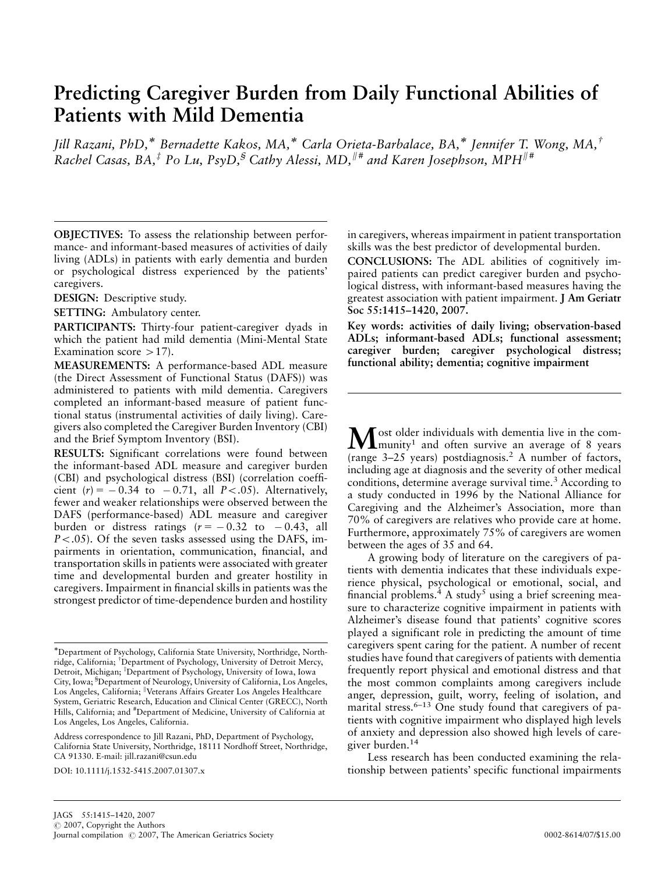# Predicting Caregiver Burden from Daily Functional Abilities of Patients with Mild Dementia

Jill Razani, PhD,\* Bernadette Kakos, MA,\* Carla Orieta-Barbalace, BA,\* Jennifer T. Wong, MA, $^{\dagger}$ Rachel Casas, BA,<sup>‡</sup> Po Lu, PsyD,<sup>§</sup> Cathy Alessi, MD,<sup> $\#$ </sup> and Karen Josephson, MPH<sup> $\#$ </sup>

OBJECTIVES: To assess the relationship between performance- and informant-based measures of activities of daily living (ADLs) in patients with early dementia and burden or psychological distress experienced by the patients' caregivers.

DESIGN: Descriptive study.

SETTING: Ambulatory center.

PARTICIPANTS: Thirty-four patient-caregiver dyads in which the patient had mild dementia (Mini-Mental State Examination score  $>17$ ).

MEASUREMENTS: A performance-based ADL measure (the Direct Assessment of Functional Status (DAFS)) was administered to patients with mild dementia. Caregivers completed an informant-based measure of patient functional status (instrumental activities of daily living). Caregivers also completed the Caregiver Burden Inventory (CBI) and the Brief Symptom Inventory (BSI).

RESULTS: Significant correlations were found between the informant-based ADL measure and caregiver burden (CBI) and psychological distress (BSI) (correlation coefficient  $(r) = -0.34$  to  $-0.71$ , all  $P < .05$ ). Alternatively, fewer and weaker relationships were observed between the DAFS (performance-based) ADL measure and caregiver burden or distress ratings  $(r = -0.32$  to  $-0.43$ , all  $P < .05$ ). Of the seven tasks assessed using the DAFS, impairments in orientation, communication, financial, and transportation skills in patients were associated with greater time and developmental burden and greater hostility in caregivers. Impairment in financial skills in patients was the strongest predictor of time-dependence burden and hostility

DOI: 10.1111/j.1532-5415.2007.01307.x

in caregivers, whereas impairment in patient transportation skills was the best predictor of developmental burden.

CONCLUSIONS: The ADL abilities of cognitively impaired patients can predict caregiver burden and psychological distress, with informant-based measures having the greatest association with patient impairment. J Am Geriatr Soc 55:1415–1420, 2007.

Key words: activities of daily living; observation-based ADLs; informant-based ADLs; functional assessment; caregiver burden; caregiver psychological distress; functional ability; dementia; cognitive impairment

 $M_{\text{munity}^1}$  and often survive an average of 8 years (range 3–25 years) postdiagnosis.2 A number of factors, including age at diagnosis and the severity of other medical conditions, determine average survival time.<sup>3</sup> According to a study conducted in 1996 by the National Alliance for Caregiving and the Alzheimer's Association, more than 70% of caregivers are relatives who provide care at home. Furthermore, approximately 75% of caregivers are women between the ages of 35 and 64.

A growing body of literature on the caregivers of patients with dementia indicates that these individuals experience physical, psychological or emotional, social, and financial problems.<sup>4</sup> A study<sup>5</sup> using a brief screening measure to characterize cognitive impairment in patients with Alzheimer's disease found that patients' cognitive scores played a significant role in predicting the amount of time caregivers spent caring for the patient. A number of recent studies have found that caregivers of patients with dementia frequently report physical and emotional distress and that the most common complaints among caregivers include anger, depression, guilt, worry, feeling of isolation, and marital stress.<sup> $6-13$ </sup> One study found that caregivers of patients with cognitive impairment who displayed high levels of anxiety and depression also showed high levels of caregiver burden.<sup>14</sup>

Less research has been conducted examining the relationship between patients' specific functional impairments

Department of Psychology, California State University, Northridge, Northridge, California; 'Department of Psychology, University of Detroit Mercy, Detroit, Michigan; <sup>‡</sup>Department of Psychology, University of Iowa, Iowa City, Iowa; <sup>§</sup>Department of Neurology, University of California, Los Angeles, Los Angeles, California; <sup>||</sup>Veterans Affairs Greater Los Angeles Healthcare System, Geriatric Research, Education and Clinical Center (GRECC), North Hills, California; and # Department of Medicine, University of California at Los Angeles, Los Angeles, California.

Address correspondence to Jill Razani, PhD, Department of Psychology, California State University, Northridge, 18111 Nordhoff Street, Northridge, CA 91330. E-mail: jill.razani@csun.edu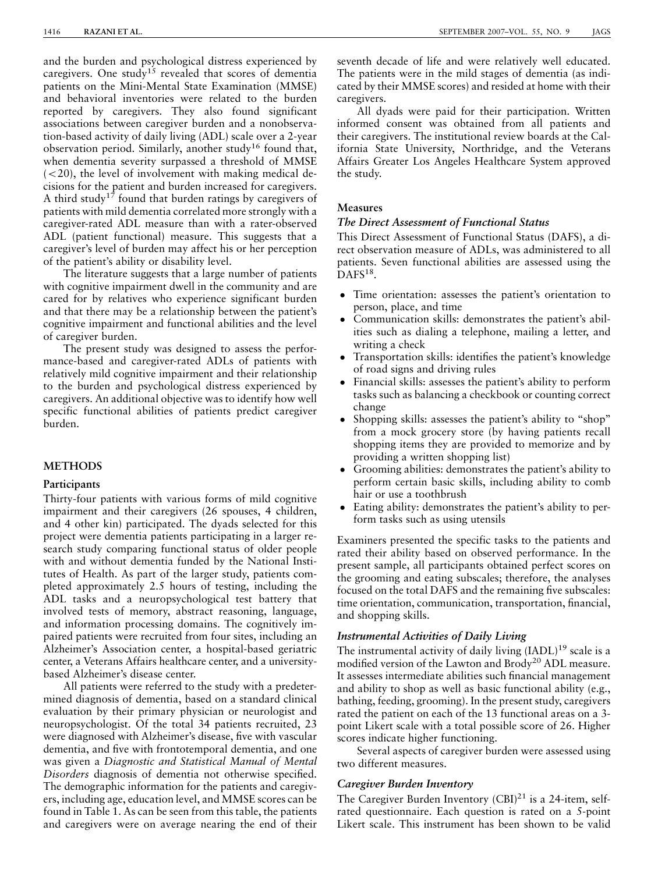and the burden and psychological distress experienced by caregivers. One study<sup>15</sup> revealed that scores of dementia patients on the Mini-Mental State Examination (MMSE) and behavioral inventories were related to the burden reported by caregivers. They also found significant associations between caregiver burden and a nonobservation-based activity of daily living (ADL) scale over a 2-year observation period. Similarly, another study<sup>16</sup> found that, when dementia severity surpassed a threshold of MMSE  $(<20$ ), the level of involvement with making medical decisions for the patient and burden increased for caregivers. A third study<sup>17</sup> found that burden ratings by caregivers of patients with mild dementia correlated more strongly with a caregiver-rated ADL measure than with a rater-observed ADL (patient functional) measure. This suggests that a caregiver's level of burden may affect his or her perception of the patient's ability or disability level.

The literature suggests that a large number of patients with cognitive impairment dwell in the community and are cared for by relatives who experience significant burden and that there may be a relationship between the patient's cognitive impairment and functional abilities and the level of caregiver burden.

The present study was designed to assess the performance-based and caregiver-rated ADLs of patients with relatively mild cognitive impairment and their relationship to the burden and psychological distress experienced by caregivers. An additional objective was to identify how well specific functional abilities of patients predict caregiver burden.

# METHODS

#### Participants

Thirty-four patients with various forms of mild cognitive impairment and their caregivers (26 spouses, 4 children, and 4 other kin) participated. The dyads selected for this project were dementia patients participating in a larger research study comparing functional status of older people with and without dementia funded by the National Institutes of Health. As part of the larger study, patients completed approximately 2.5 hours of testing, including the ADL tasks and a neuropsychological test battery that involved tests of memory, abstract reasoning, language, and information processing domains. The cognitively impaired patients were recruited from four sites, including an Alzheimer's Association center, a hospital-based geriatric center, a Veterans Affairs healthcare center, and a universitybased Alzheimer's disease center.

All patients were referred to the study with a predetermined diagnosis of dementia, based on a standard clinical evaluation by their primary physician or neurologist and neuropsychologist. Of the total 34 patients recruited, 23 were diagnosed with Alzheimer's disease, five with vascular dementia, and five with frontotemporal dementia, and one was given a Diagnostic and Statistical Manual of Mental Disorders diagnosis of dementia not otherwise specified. The demographic information for the patients and caregivers, including age, education level, and MMSE scores can be found in Table 1. As can be seen from this table, the patients and caregivers were on average nearing the end of their seventh decade of life and were relatively well educated. The patients were in the mild stages of dementia (as indicated by their MMSE scores) and resided at home with their caregivers.

All dyads were paid for their participation. Written informed consent was obtained from all patients and their caregivers. The institutional review boards at the California State University, Northridge, and the Veterans Affairs Greater Los Angeles Healthcare System approved the study.

## Measures

#### The Direct Assessment of Functional Status

This Direct Assessment of Functional Status (DAFS), a direct observation measure of ADLs, was administered to all patients. Seven functional abilities are assessed using the  $DAFS<sup>18</sup>$ .

- Time orientation: assesses the patient's orientation to person, place, and time
- $\bullet$  Communication skills: demonstrates the patient's abilities such as dialing a telephone, mailing a letter, and writing a check
- Transportation skills: identifies the patient's knowledge of road signs and driving rules
- $\bullet$  Financial skills: assesses the patient's ability to perform tasks such as balancing a checkbook or counting correct change
- Shopping skills: assesses the patient's ability to ''shop'' from a mock grocery store (by having patients recall shopping items they are provided to memorize and by providing a written shopping list)
- Grooming abilities: demonstrates the patient's ability to perform certain basic skills, including ability to comb hair or use a toothbrush
- Eating ability: demonstrates the patient's ability to perform tasks such as using utensils

Examiners presented the specific tasks to the patients and rated their ability based on observed performance. In the present sample, all participants obtained perfect scores on the grooming and eating subscales; therefore, the analyses focused on the total DAFS and the remaining five subscales: time orientation, communication, transportation, financial, and shopping skills.

#### Instrumental Activities of Daily Living

The instrumental activity of daily living  $(IADL)^{19}$  scale is a modified version of the Lawton and Brody<sup>20</sup> ADL measure. It assesses intermediate abilities such financial management and ability to shop as well as basic functional ability (e.g., bathing, feeding, grooming). In the present study, caregivers rated the patient on each of the 13 functional areas on a 3 point Likert scale with a total possible score of 26. Higher scores indicate higher functioning.

Several aspects of caregiver burden were assessed using two different measures.

# Caregiver Burden Inventory

The Caregiver Burden Inventory  $(CBI)^{21}$  is a 24-item, selfrated questionnaire. Each question is rated on a 5-point Likert scale. This instrument has been shown to be valid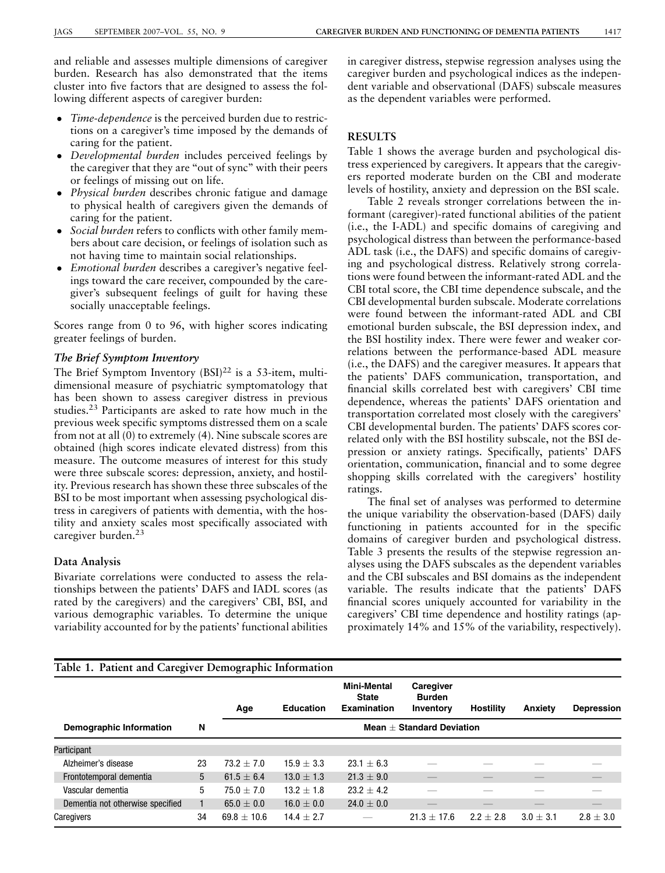and reliable and assesses multiple dimensions of caregiver burden. Research has also demonstrated that the items cluster into five factors that are designed to assess the following different aspects of caregiver burden:

- *Time-dependence* is the perceived burden due to restrictions on a caregiver's time imposed by the demands of caring for the patient.
- Developmental burden includes perceived feelings by the caregiver that they are ''out of sync'' with their peers or feelings of missing out on life.
- *Physical burden* describes chronic fatigue and damage to physical health of caregivers given the demands of caring for the patient.
- $\bullet$  Social burden refers to conflicts with other family members about care decision, or feelings of isolation such as not having time to maintain social relationships.
- Emotional burden describes a caregiver's negative feelings toward the care receiver, compounded by the caregiver's subsequent feelings of guilt for having these socially unacceptable feelings.

Scores range from 0 to 96, with higher scores indicating greater feelings of burden.

#### The Brief Symptom Inventory

The Brief Symptom Inventory  $(BSI)^{22}$  is a 53-item, multidimensional measure of psychiatric symptomatology that has been shown to assess caregiver distress in previous studies.<sup>23</sup> Participants are asked to rate how much in the previous week specific symptoms distressed them on a scale from not at all (0) to extremely (4). Nine subscale scores are obtained (high scores indicate elevated distress) from this measure. The outcome measures of interest for this study were three subscale scores: depression, anxiety, and hostility. Previous research has shown these three subscales of the BSI to be most important when assessing psychological distress in caregivers of patients with dementia, with the hostility and anxiety scales most specifically associated with caregiver burden.<sup>23</sup>

#### Data Analysis

Bivariate correlations were conducted to assess the relationships between the patients' DAFS and IADL scores (as rated by the caregivers) and the caregivers' CBI, BSI, and various demographic variables. To determine the unique variability accounted for by the patients' functional abilities in caregiver distress, stepwise regression analyses using the caregiver burden and psychological indices as the independent variable and observational (DAFS) subscale measures as the dependent variables were performed.

# RESULTS

Table 1 shows the average burden and psychological distress experienced by caregivers. It appears that the caregivers reported moderate burden on the CBI and moderate levels of hostility, anxiety and depression on the BSI scale.

Table 2 reveals stronger correlations between the informant (caregiver)-rated functional abilities of the patient (i.e., the I-ADL) and specific domains of caregiving and psychological distress than between the performance-based ADL task (i.e., the DAFS) and specific domains of caregiving and psychological distress. Relatively strong correlations were found between the informant-rated ADL and the CBI total score, the CBI time dependence subscale, and the CBI developmental burden subscale. Moderate correlations were found between the informant-rated ADL and CBI emotional burden subscale, the BSI depression index, and the BSI hostility index. There were fewer and weaker correlations between the performance-based ADL measure (i.e., the DAFS) and the caregiver measures. It appears that the patients' DAFS communication, transportation, and financial skills correlated best with caregivers' CBI time dependence, whereas the patients' DAFS orientation and transportation correlated most closely with the caregivers' CBI developmental burden. The patients' DAFS scores correlated only with the BSI hostility subscale, not the BSI depression or anxiety ratings. Specifically, patients' DAFS orientation, communication, financial and to some degree shopping skills correlated with the caregivers' hostility ratings.

The final set of analyses was performed to determine the unique variability the observation-based (DAFS) daily functioning in patients accounted for in the specific domains of caregiver burden and psychological distress. Table 3 presents the results of the stepwise regression analyses using the DAFS subscales as the dependent variables and the CBI subscales and BSI domains as the independent variable. The results indicate that the patients' DAFS financial scores uniquely accounted for variability in the caregivers' CBI time dependence and hostility ratings (approximately 14% and 15% of the variability, respectively).

| Table 1. Patient and Caregiver Demographic Information               |    |                 |                  |                                            |                                         |             |             |                   |  |  |
|----------------------------------------------------------------------|----|-----------------|------------------|--------------------------------------------|-----------------------------------------|-------------|-------------|-------------------|--|--|
|                                                                      |    | Age             | <b>Education</b> | Mini-Mental<br><b>State</b><br>Examination | Caregiver<br><b>Burden</b><br>Inventory | Hostility   | Anxiety     | <b>Depression</b> |  |  |
| <b>Demographic Information</b><br>N<br>Mean $\pm$ Standard Deviation |    |                 |                  |                                            |                                         |             |             |                   |  |  |
| Participant                                                          |    |                 |                  |                                            |                                         |             |             |                   |  |  |
| Alzheimer's disease                                                  | 23 | $73.2 + 7.0$    | $15.9 + 3.3$     | $23.1 + 6.3$                               |                                         |             |             |                   |  |  |
| Frontotemporal dementia                                              | 5  | $61.5 + 6.4$    | $13.0 + 1.3$     | $21.3 + 9.0$                               |                                         |             |             |                   |  |  |
| Vascular dementia                                                    | 5  | $75.0 + 7.0$    | $13.2 + 1.8$     | $23.2 + 4.2$                               |                                         |             |             |                   |  |  |
| Dementia not otherwise specified                                     |    | $65.0 \pm 0.0$  | $16.0 + 0.0$     | $24.0 + 0.0$                               |                                         |             |             | __                |  |  |
| Caregivers                                                           | 34 | $69.8 \pm 10.6$ | $14.4 + 2.7$     |                                            | $21.3 \pm 17.6$                         | $2.2 + 2.8$ | $3.0 + 3.1$ | $2.8 \pm 3.0$     |  |  |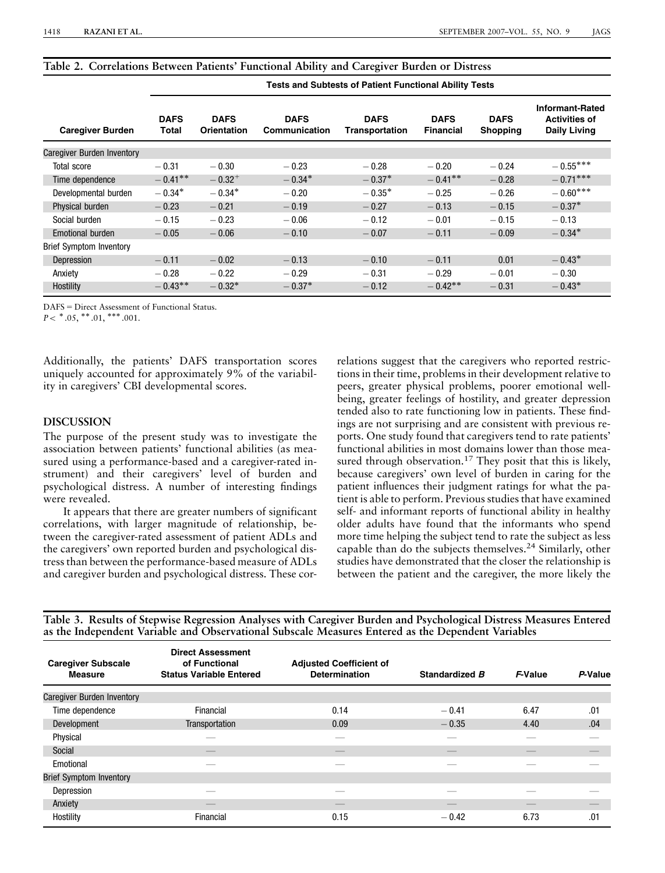| Table 2. Correlations Between Patients' Functional Ability and Caregiver Burden or Distress |                            |                              |                               |                                 |                         |                                                                |  |  |  |  |
|---------------------------------------------------------------------------------------------|----------------------------|------------------------------|-------------------------------|---------------------------------|-------------------------|----------------------------------------------------------------|--|--|--|--|
| <b>Tests and Subtests of Patient Functional Ability Tests</b>                               |                            |                              |                               |                                 |                         |                                                                |  |  |  |  |
| <b>DAFS</b><br>Total                                                                        | <b>DAFS</b><br>Orientation | <b>DAFS</b><br>Communication | <b>DAFS</b><br>Transportation | <b>DAFS</b><br><b>Financial</b> | <b>DAFS</b><br>Shopping | <b>Informant-Rated</b><br><b>Activities of</b><br>Daily Living |  |  |  |  |
|                                                                                             |                            |                              |                               |                                 |                         |                                                                |  |  |  |  |
| $-0.31$                                                                                     | $-0.30$                    | $-0.23$                      | $-0.28$                       | $-0.20$                         | $-0.24$                 | $-0.55***$                                                     |  |  |  |  |
| $-0.41**$                                                                                   | $-0.32^{+}$                | $-0.34*$                     | $-0.37*$                      | $-0.41***$                      | $-0.28$                 | $-0.71***$                                                     |  |  |  |  |
| $-0.34*$                                                                                    | $-0.34*$                   | $-0.20$                      | $-0.35*$                      | $-0.25$                         | $-0.26$                 | $-0.60***$                                                     |  |  |  |  |
| $-0.23$                                                                                     | $-0.21$                    | $-0.19$                      | $-0.27$                       | $-0.13$                         | $-0.15$                 | $-0.37*$                                                       |  |  |  |  |
| $-0.15$                                                                                     | $-0.23$                    | $-0.06$                      | $-0.12$                       | $-0.01$                         | $-0.15$                 | $-0.13$                                                        |  |  |  |  |
| $-0.05$                                                                                     | $-0.06$                    | $-0.10$                      | $-0.07$                       | $-0.11$                         | $-0.09$                 | $-0.34*$                                                       |  |  |  |  |
|                                                                                             |                            |                              |                               |                                 |                         |                                                                |  |  |  |  |
| $-0.11$                                                                                     | $-0.02$                    | $-0.13$                      | $-0.10$                       | $-0.11$                         | 0.01                    | $-0.43*$                                                       |  |  |  |  |
| $-0.28$                                                                                     | $-0.22$                    | $-0.29$                      | $-0.31$                       | $-0.29$                         | $-0.01$                 | $-0.30$                                                        |  |  |  |  |
| $-0.43**$                                                                                   | $-0.32*$                   | $-0.37*$                     | $-0.12$                       | $-0.42**$                       | $-0.31$                 | $-0.43*$                                                       |  |  |  |  |
|                                                                                             |                            |                              |                               |                                 |                         |                                                                |  |  |  |  |

Table 2. Correlations Between Patients' Functional Ability and Caregiver Burden or Distress

DAFS = Direct Assessment of Functional Status.

 $P<$  \* .05, \*\* .01, \*\*\* .001.

Additionally, the patients' DAFS transportation scores uniquely accounted for approximately 9% of the variability in caregivers' CBI developmental scores.

# DISCUSSION

The purpose of the present study was to investigate the association between patients' functional abilities (as measured using a performance-based and a caregiver-rated instrument) and their caregivers' level of burden and psychological distress. A number of interesting findings were revealed.

It appears that there are greater numbers of significant correlations, with larger magnitude of relationship, between the caregiver-rated assessment of patient ADLs and the caregivers' own reported burden and psychological distress than between the performance-based measure of ADLs and caregiver burden and psychological distress. These correlations suggest that the caregivers who reported restrictions in their time, problems in their development relative to peers, greater physical problems, poorer emotional wellbeing, greater feelings of hostility, and greater depression tended also to rate functioning low in patients. These findings are not surprising and are consistent with previous reports. One study found that caregivers tend to rate patients' functional abilities in most domains lower than those measured through observation.<sup>17</sup> They posit that this is likely, because caregivers' own level of burden in caring for the patient influences their judgment ratings for what the patient is able to perform. Previous studies that have examined self- and informant reports of functional ability in healthy older adults have found that the informants who spend more time helping the subject tend to rate the subject as less capable than do the subjects themselves.<sup>24</sup> Similarly, other studies have demonstrated that the closer the relationship is between the patient and the caregiver, the more likely the

| Table 3. Results of Stepwise Regression Analyses with Caregiver Burden and Psychological Distress Measures Entered |  |  |  |  |  |  |
|--------------------------------------------------------------------------------------------------------------------|--|--|--|--|--|--|
| as the Independent Variable and Observational Subscale Measures Entered as the Dependent Variables                 |  |  |  |  |  |  |

| <b>Caregiver Subscale</b><br><b>Measure</b> | <b>Direct Assessment</b><br>of Functional<br><b>Status Variable Entered</b> | <b>Adjusted Coefficient of</b><br><b>Determination</b> | Standardized B | <b>F-Value</b> | P-Value |
|---------------------------------------------|-----------------------------------------------------------------------------|--------------------------------------------------------|----------------|----------------|---------|
| <b>Caregiver Burden Inventory</b>           |                                                                             |                                                        |                |                |         |
| Time dependence                             | Financial                                                                   | 0.14                                                   | $-0.41$        | 6.47           | .01     |
| Development                                 | Transportation                                                              | 0.09                                                   | $-0.35$        | 4.40           | .04     |
| Physical                                    |                                                                             |                                                        |                |                |         |
| Social                                      |                                                                             |                                                        |                |                |         |
| Emotional                                   |                                                                             |                                                        |                |                |         |
| <b>Brief Symptom Inventory</b>              |                                                                             |                                                        |                |                |         |
| Depression                                  |                                                                             |                                                        |                |                |         |
| Anxiety                                     |                                                                             |                                                        |                |                |         |
| Hostility                                   | Financial                                                                   | 0.15                                                   | $-0.42$        | 6.73           | .01     |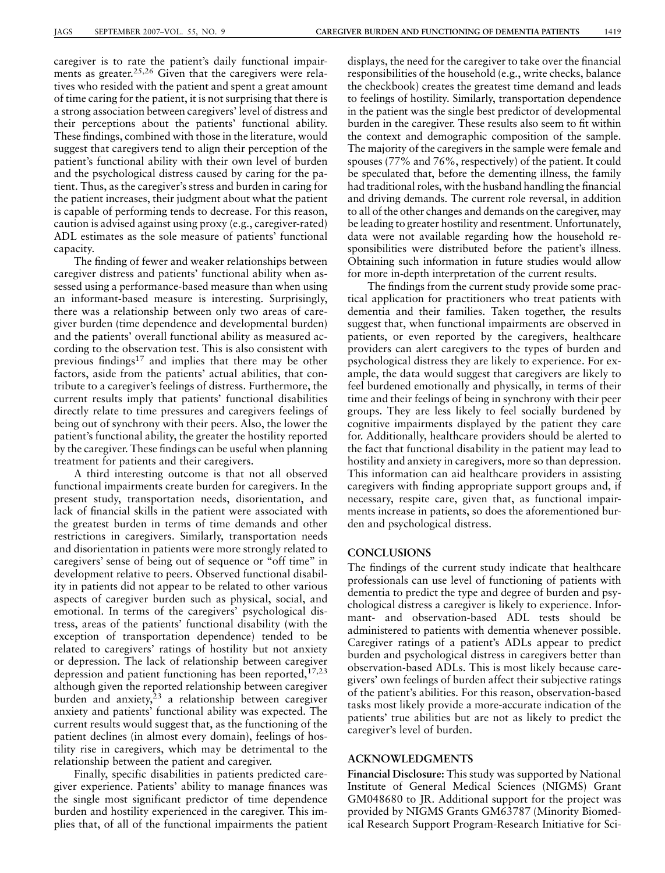caregiver is to rate the patient's daily functional impairments as greater.<sup>25,26</sup> Given that the caregivers were relatives who resided with the patient and spent a great amount of time caring for the patient, it is not surprising that there is a strong association between caregivers' level of distress and their perceptions about the patients' functional ability. These findings, combined with those in the literature, would suggest that caregivers tend to align their perception of the patient's functional ability with their own level of burden and the psychological distress caused by caring for the patient. Thus, as the caregiver's stress and burden in caring for the patient increases, their judgment about what the patient is capable of performing tends to decrease. For this reason, caution is advised against using proxy (e.g., caregiver-rated) ADL estimates as the sole measure of patients' functional capacity.

The finding of fewer and weaker relationships between caregiver distress and patients' functional ability when assessed using a performance-based measure than when using an informant-based measure is interesting. Surprisingly, there was a relationship between only two areas of caregiver burden (time dependence and developmental burden) and the patients' overall functional ability as measured according to the observation test. This is also consistent with previous findings<sup>17</sup> and implies that there may be other factors, aside from the patients' actual abilities, that contribute to a caregiver's feelings of distress. Furthermore, the current results imply that patients' functional disabilities directly relate to time pressures and caregivers feelings of being out of synchrony with their peers. Also, the lower the patient's functional ability, the greater the hostility reported by the caregiver. These findings can be useful when planning treatment for patients and their caregivers.

A third interesting outcome is that not all observed functional impairments create burden for caregivers. In the present study, transportation needs, disorientation, and lack of financial skills in the patient were associated with the greatest burden in terms of time demands and other restrictions in caregivers. Similarly, transportation needs and disorientation in patients were more strongly related to caregivers' sense of being out of sequence or ''off time'' in development relative to peers. Observed functional disability in patients did not appear to be related to other various aspects of caregiver burden such as physical, social, and emotional. In terms of the caregivers' psychological distress, areas of the patients' functional disability (with the exception of transportation dependence) tended to be related to caregivers' ratings of hostility but not anxiety or depression. The lack of relationship between caregiver depression and patient functioning has been reported, $17,23$ although given the reported relationship between caregiver burden and anxiety, $23$  a relationship between caregiver anxiety and patients' functional ability was expected. The current results would suggest that, as the functioning of the patient declines (in almost every domain), feelings of hostility rise in caregivers, which may be detrimental to the relationship between the patient and caregiver.

Finally, specific disabilities in patients predicted caregiver experience. Patients' ability to manage finances was the single most significant predictor of time dependence burden and hostility experienced in the caregiver. This implies that, of all of the functional impairments the patient displays, the need for the caregiver to take over the financial responsibilities of the household (e.g., write checks, balance the checkbook) creates the greatest time demand and leads to feelings of hostility. Similarly, transportation dependence in the patient was the single best predictor of developmental burden in the caregiver. These results also seem to fit within the context and demographic composition of the sample. The majority of the caregivers in the sample were female and spouses (77% and 76%, respectively) of the patient. It could be speculated that, before the dementing illness, the family had traditional roles, with the husband handling the financial and driving demands. The current role reversal, in addition to all of the other changes and demands on the caregiver, may be leading to greater hostility and resentment. Unfortunately, data were not available regarding how the household responsibilities were distributed before the patient's illness. Obtaining such information in future studies would allow for more in-depth interpretation of the current results.

The findings from the current study provide some practical application for practitioners who treat patients with dementia and their families. Taken together, the results suggest that, when functional impairments are observed in patients, or even reported by the caregivers, healthcare providers can alert caregivers to the types of burden and psychological distress they are likely to experience. For example, the data would suggest that caregivers are likely to feel burdened emotionally and physically, in terms of their time and their feelings of being in synchrony with their peer groups. They are less likely to feel socially burdened by cognitive impairments displayed by the patient they care for. Additionally, healthcare providers should be alerted to the fact that functional disability in the patient may lead to hostility and anxiety in caregivers, more so than depression. This information can aid healthcare providers in assisting caregivers with finding appropriate support groups and, if necessary, respite care, given that, as functional impairments increase in patients, so does the aforementioned burden and psychological distress.

# **CONCLUSIONS**

The findings of the current study indicate that healthcare professionals can use level of functioning of patients with dementia to predict the type and degree of burden and psychological distress a caregiver is likely to experience. Informant- and observation-based ADL tests should be administered to patients with dementia whenever possible. Caregiver ratings of a patient's ADLs appear to predict burden and psychological distress in caregivers better than observation-based ADLs. This is most likely because caregivers' own feelings of burden affect their subjective ratings of the patient's abilities. For this reason, observation-based tasks most likely provide a more-accurate indication of the patients' true abilities but are not as likely to predict the caregiver's level of burden.

#### ACKNOWLEDGMENTS

Financial Disclosure: This study was supported by National Institute of General Medical Sciences (NIGMS) Grant GM048680 to JR. Additional support for the project was provided by NIGMS Grants GM63787 (Minority Biomedical Research Support Program-Research Initiative for Sci-